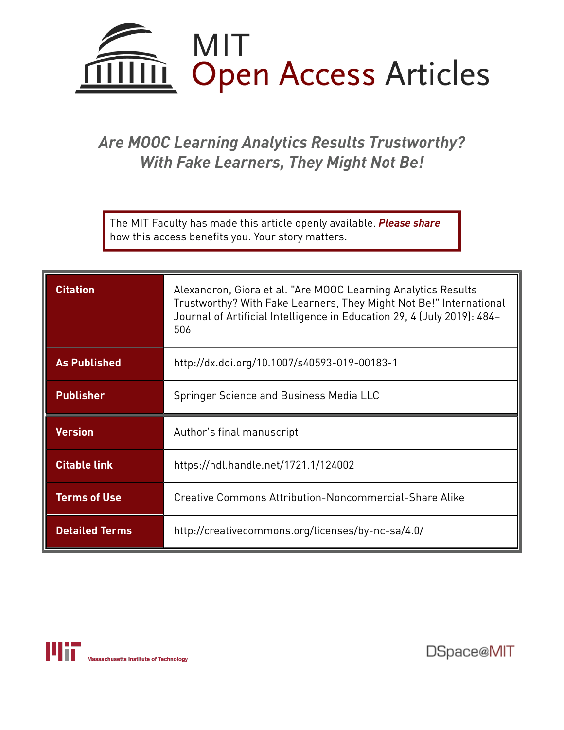

# *Are MOOC Learning Analytics Results Trustworthy? With Fake Learners, They Might Not Be!*

The MIT Faculty has made this article openly available. *[Please](https://libraries.mit.edu/forms/dspace-oa-articles.html) share* how this access benefits you. Your story matters.

| <b>Citation</b>     | Alexandron, Giora et al. "Are MOOC Learning Analytics Results<br>Trustworthy? With Fake Learners, They Might Not Be!" International<br>Journal of Artificial Intelligence in Education 29, 4 (July 2019): 484-<br>506 |
|---------------------|-----------------------------------------------------------------------------------------------------------------------------------------------------------------------------------------------------------------------|
| <b>As Published</b> | http://dx.doi.org/10.1007/s40593-019-00183-1                                                                                                                                                                          |
| <b>Publisher</b>    | Springer Science and Business Media LLC                                                                                                                                                                               |
|                     |                                                                                                                                                                                                                       |
| <b>Version</b>      | Author's final manuscript                                                                                                                                                                                             |
| <b>Citable link</b> | https://hdl.handle.net/1721.1/124002                                                                                                                                                                                  |
| <b>Terms of Use</b> | Creative Commons Attribution-Noncommercial-Share Alike                                                                                                                                                                |



DSpace@MIT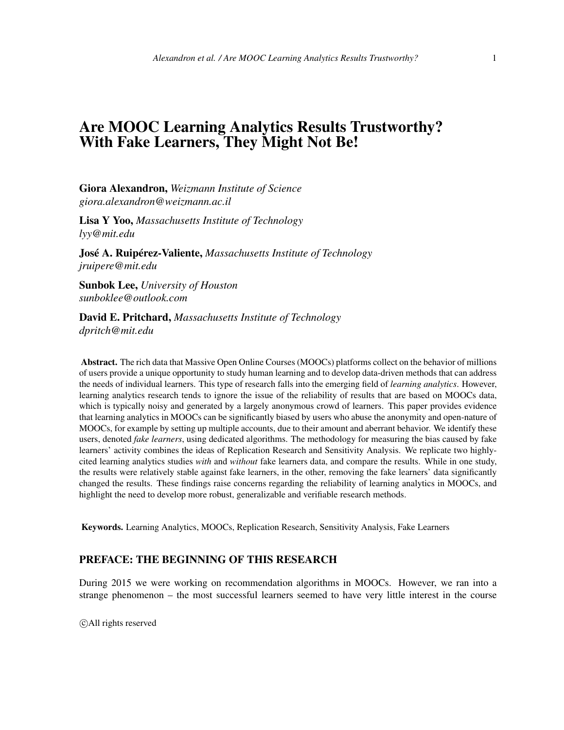# Are MOOC Learning Analytics Results Trustworthy? With Fake Learners, They Might Not Be!

Giora Alexandron, *Weizmann Institute of Science giora.alexandron@weizmann.ac.il*

Lisa Y Yoo, *Massachusetts Institute of Technology lyy@mit.edu*

José A. Ruipérez-Valiente, *Massachusetts Institute of Technology jruipere@mit.edu*

Sunbok Lee, *University of Houston sunboklee@outlook.com*

David E. Pritchard, *Massachusetts Institute of Technology dpritch@mit.edu*

Abstract. The rich data that Massive Open Online Courses (MOOCs) platforms collect on the behavior of millions of users provide a unique opportunity to study human learning and to develop data-driven methods that can address the needs of individual learners. This type of research falls into the emerging field of *learning analytics*. However, learning analytics research tends to ignore the issue of the reliability of results that are based on MOOCs data, which is typically noisy and generated by a largely anonymous crowd of learners. This paper provides evidence that learning analytics in MOOCs can be significantly biased by users who abuse the anonymity and open-nature of MOOCs, for example by setting up multiple accounts, due to their amount and aberrant behavior. We identify these users, denoted *fake learners*, using dedicated algorithms. The methodology for measuring the bias caused by fake learners' activity combines the ideas of Replication Research and Sensitivity Analysis. We replicate two highlycited learning analytics studies *with* and *without* fake learners data, and compare the results. While in one study, the results were relatively stable against fake learners, in the other, removing the fake learners' data significantly changed the results. These findings raise concerns regarding the reliability of learning analytics in MOOCs, and highlight the need to develop more robust, generalizable and verifiable research methods.

Keywords. Learning Analytics, MOOCs, Replication Research, Sensitivity Analysis, Fake Learners

#### PREFACE: THE BEGINNING OF THIS RESEARCH

During 2015 we were working on recommendation algorithms in MOOCs. However, we ran into a strange phenomenon – the most successful learners seemed to have very little interest in the course

c All rights reserved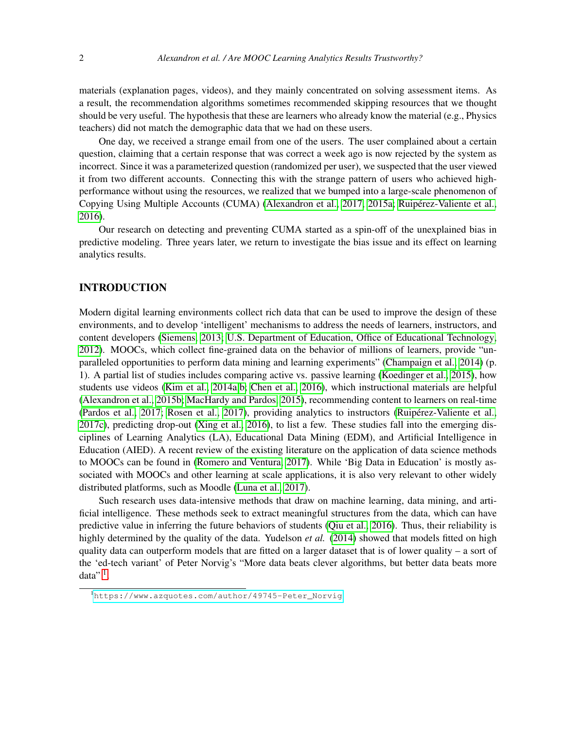materials (explanation pages, videos), and they mainly concentrated on solving assessment items. As a result, the recommendation algorithms sometimes recommended skipping resources that we thought should be very useful. The hypothesis that these are learners who already know the material (e.g., Physics teachers) did not match the demographic data that we had on these users.

One day, we received a strange email from one of the users. The user complained about a certain question, claiming that a certain response that was correct a week ago is now rejected by the system as incorrect. Since it was a parameterized question (randomized per user), we suspected that the user viewed it from two different accounts. Connecting this with the strange pattern of users who achieved highperformance without using the resources, we realized that we bumped into a large-scale phenomenon of Copying Using Multiple Accounts (CUMA) [\(Alexandron et al., 2017,](#page-18-0) [2015a;](#page-18-1) [Ruipérez-Valiente et al.,](#page-21-0) [2016\)](#page-21-0).

Our research on detecting and preventing CUMA started as a spin-off of the unexplained bias in predictive modeling. Three years later, we return to investigate the bias issue and its effect on learning analytics results.

#### INTRODUCTION

Modern digital learning environments collect rich data that can be used to improve the design of these environments, and to develop 'intelligent' mechanisms to address the needs of learners, instructors, and content developers [\(Siemens, 2013;](#page-22-0) [U.S. Department of Education, Office of Educational Technology,](#page-22-1) [2012\)](#page-22-1). MOOCs, which collect fine-grained data on the behavior of millions of learners, provide "unparalleled opportunities to perform data mining and learning experiments" [\(Champaign et al., 2014\)](#page-19-0) (p. 1). A partial list of studies includes comparing active vs. passive learning [\(Koedinger et al., 2015\)](#page-20-0), how students use videos [\(Kim et al., 2014a](#page-20-1)[,b;](#page-20-2) [Chen et al., 2016\)](#page-19-1), which instructional materials are helpful [\(Alexandron et al., 2015b;](#page-18-2) [MacHardy and Pardos, 2015\)](#page-20-3), recommending content to learners on real-time [\(Pardos et al., 2017;](#page-21-1) [Rosen et al., 2017\)](#page-21-2), providing analytics to instructors [\(Ruipérez-Valiente et al.,](#page-21-3) [2017c\)](#page-21-3), predicting drop-out [\(Xing et al., 2016\)](#page-22-2), to list a few. These studies fall into the emerging disciplines of Learning Analytics (LA), Educational Data Mining (EDM), and Artificial Intelligence in Education (AIED). A recent review of the existing literature on the application of data science methods to MOOCs can be found in [\(Romero and Ventura, 2017\)](#page-21-4). While 'Big Data in Education' is mostly associated with MOOCs and other learning at scale applications, it is also very relevant to other widely distributed platforms, such as Moodle [\(Luna et al., 2017\)](#page-20-4).

Such research uses data-intensive methods that draw on machine learning, data mining, and artificial intelligence. These methods seek to extract meaningful structures from the data, which can have predictive value in inferring the future behaviors of students [\(Qiu et al., 2016\)](#page-21-5). Thus, their reliability is highly determined by the quality of the data. Yudelson *et al.* [\(2014\)](#page-22-3) showed that models fitted on high quality data can outperform models that are fitted on a larger dataset that is of lower quality – a sort of the 'ed-tech variant' of Peter Norvig's "More data beats clever algorithms, but better data beats more data"  $^1$  $^1$ .

<span id="page-2-0"></span><sup>1</sup>[https://www.azquotes.com/author/49745-Peter\\_Norvig](https://www.azquotes.com/author/49745-Peter_Norvig)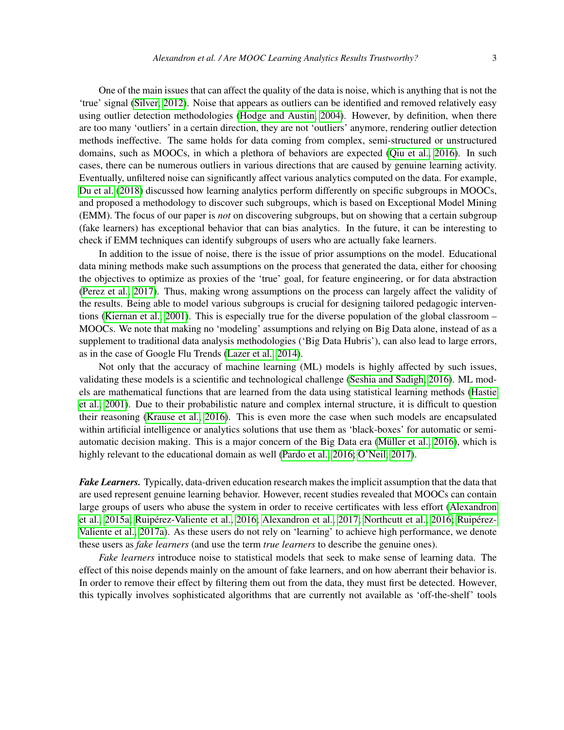One of the main issues that can affect the quality of the data is noise, which is anything that is not the 'true' signal [\(Silver, 2012\)](#page-22-4). Noise that appears as outliers can be identified and removed relatively easy using outlier detection methodologies [\(Hodge and Austin, 2004\)](#page-19-2). However, by definition, when there are too many 'outliers' in a certain direction, they are not 'outliers' anymore, rendering outlier detection methods ineffective. The same holds for data coming from complex, semi-structured or unstructured domains, such as MOOCs, in which a plethora of behaviors are expected [\(Qiu et al., 2016\)](#page-21-5). In such cases, there can be numerous outliers in various directions that are caused by genuine learning activity. Eventually, unfiltered noise can significantly affect various analytics computed on the data. For example, [Du et al.](#page-19-3) [\(2018\)](#page-19-3) discussed how learning analytics perform differently on specific subgroups in MOOCs, and proposed a methodology to discover such subgroups, which is based on Exceptional Model Mining (EMM). The focus of our paper is *not* on discovering subgroups, but on showing that a certain subgroup (fake learners) has exceptional behavior that can bias analytics. In the future, it can be interesting to check if EMM techniques can identify subgroups of users who are actually fake learners.

In addition to the issue of noise, there is the issue of prior assumptions on the model. Educational data mining methods make such assumptions on the process that generated the data, either for choosing the objectives to optimize as proxies of the 'true' goal, for feature engineering, or for data abstraction [\(Perez et al., 2017\)](#page-21-6). Thus, making wrong assumptions on the process can largely affect the validity of the results. Being able to model various subgroups is crucial for designing tailored pedagogic interventions [\(Kiernan et al., 2001\)](#page-19-4). This is especially true for the diverse population of the global classroom – MOOCs. We note that making no 'modeling' assumptions and relying on Big Data alone, instead of as a supplement to traditional data analysis methodologies ('Big Data Hubris'), can also lead to large errors, as in the case of Google Flu Trends [\(Lazer et al., 2014\)](#page-20-5).

Not only that the accuracy of machine learning (ML) models is highly affected by such issues, validating these models is a scientific and technological challenge [\(Seshia and Sadigh, 2016\)](#page-22-5). ML models are mathematical functions that are learned from the data using statistical learning methods [\(Hastie](#page-19-5) [et al., 2001\)](#page-19-5). Due to their probabilistic nature and complex internal structure, it is difficult to question their reasoning [\(Krause et al., 2016\)](#page-20-6). This is even more the case when such models are encapsulated within artificial intelligence or analytics solutions that use them as 'black-boxes' for automatic or semiautomatic decision making. This is a major concern of the Big Data era [\(Müller et al., 2016\)](#page-20-7), which is highly relevant to the educational domain as well [\(Pardo et al., 2016;](#page-21-7) [O'Neil, 2017\)](#page-20-8).

*Fake Learners.* Typically, data-driven education research makes the implicit assumption that the data that are used represent genuine learning behavior. However, recent studies revealed that MOOCs can contain large groups of users who abuse the system in order to receive certificates with less effort [\(Alexandron](#page-18-1) [et al., 2015a;](#page-18-1) [Ruipérez-Valiente et al., 2016;](#page-21-0) [Alexandron et al., 2017;](#page-18-0) [Northcutt et al., 2016;](#page-20-9) [Ruipérez-](#page-21-8)[Valiente et al., 2017a\)](#page-21-8). As these users do not rely on 'learning' to achieve high performance, we denote these users as *fake learners* (and use the term *true learners* to describe the genuine ones).

*Fake learners* introduce noise to statistical models that seek to make sense of learning data. The effect of this noise depends mainly on the amount of fake learners, and on how aberrant their behavior is. In order to remove their effect by filtering them out from the data, they must first be detected. However, this typically involves sophisticated algorithms that are currently not available as 'off-the-shelf' tools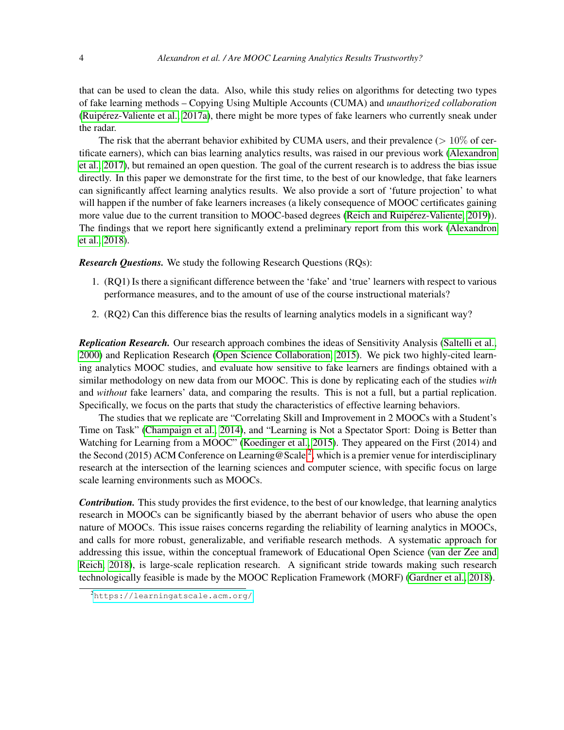that can be used to clean the data. Also, while this study relies on algorithms for detecting two types of fake learning methods – Copying Using Multiple Accounts (CUMA) and *unauthorized collaboration* [\(Ruipérez-Valiente et al., 2017a\)](#page-21-8), there might be more types of fake learners who currently sneak under the radar.

The risk that the aberrant behavior exhibited by CUMA users, and their prevalence ( $> 10\%$  of certificate earners), which can bias learning analytics results, was raised in our previous work [\(Alexandron](#page-18-0) [et al., 2017\)](#page-18-0), but remained an open question. The goal of the current research is to address the bias issue directly. In this paper we demonstrate for the first time, to the best of our knowledge, that fake learners can significantly affect learning analytics results. We also provide a sort of 'future projection' to what will happen if the number of fake learners increases (a likely consequence of MOOC certificates gaining more value due to the current transition to MOOC-based degrees [\(Reich and Ruipérez-Valiente, 2019\)](#page-21-9)). The findings that we report here significantly extend a preliminary report from this work [\(Alexandron](#page-19-6) [et al., 2018\)](#page-19-6).

*Research Questions.* We study the following Research Questions (RQs):

- 1. (RQ1) Is there a significant difference between the 'fake' and 'true' learners with respect to various performance measures, and to the amount of use of the course instructional materials?
- 2. (RQ2) Can this difference bias the results of learning analytics models in a significant way?

*Replication Research.* Our research approach combines the ideas of Sensitivity Analysis [\(Saltelli et al.,](#page-22-6) [2000\)](#page-22-6) and Replication Research [\(Open Science Collaboration, 2015\)](#page-20-10). We pick two highly-cited learning analytics MOOC studies, and evaluate how sensitive to fake learners are findings obtained with a similar methodology on new data from our MOOC. This is done by replicating each of the studies *with* and *without* fake learners' data, and comparing the results. This is not a full, but a partial replication. Specifically, we focus on the parts that study the characteristics of effective learning behaviors.

The studies that we replicate are "Correlating Skill and Improvement in 2 MOOCs with a Student's Time on Task" [\(Champaign et al., 2014\)](#page-19-0), and "Learning is Not a Spectator Sport: Doing is Better than Watching for Learning from a MOOC" [\(Koedinger et al., 2015\)](#page-20-0). They appeared on the First (2014) and the Second ([2](#page-4-0)015) ACM Conference on Learning @ Scale <sup>2</sup>, which is a premier venue for interdisciplinary research at the intersection of the learning sciences and computer science, with specific focus on large scale learning environments such as MOOCs.

*Contribution.* This study provides the first evidence, to the best of our knowledge, that learning analytics research in MOOCs can be significantly biased by the aberrant behavior of users who abuse the open nature of MOOCs. This issue raises concerns regarding the reliability of learning analytics in MOOCs, and calls for more robust, generalizable, and verifiable research methods. A systematic approach for addressing this issue, within the conceptual framework of Educational Open Science [\(van der Zee and](#page-22-7) [Reich, 2018\)](#page-22-7), is large-scale replication research. A significant stride towards making such research technologically feasible is made by the MOOC Replication Framework (MORF) [\(Gardner et al., 2018\)](#page-19-7).

<span id="page-4-0"></span><sup>2</sup><https://learningatscale.acm.org/>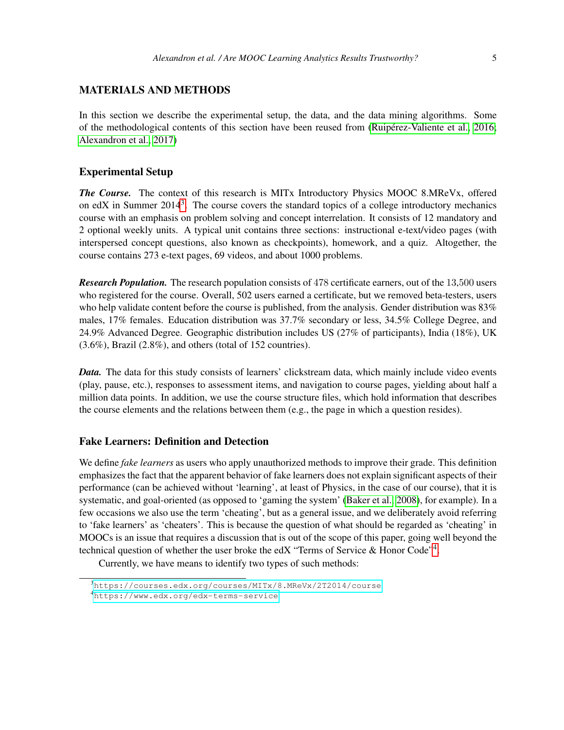#### MATERIALS AND METHODS

In this section we describe the experimental setup, the data, and the data mining algorithms. Some of the methodological contents of this section have been reused from [\(Ruipérez-Valiente et al., 2016;](#page-21-0) [Alexandron et al., 2017\)](#page-18-0)

#### Experimental Setup

*The Course.* The context of this research is MITx Introductory Physics MOOC 8.MReVx, offered on edX in Summer  $2014<sup>3</sup>$  $2014<sup>3</sup>$  $2014<sup>3</sup>$ . The course covers the standard topics of a college introductory mechanics course with an emphasis on problem solving and concept interrelation. It consists of 12 mandatory and 2 optional weekly units. A typical unit contains three sections: instructional e-text/video pages (with interspersed concept questions, also known as checkpoints), homework, and a quiz. Altogether, the course contains 273 e-text pages, 69 videos, and about 1000 problems.

*Research Population.* The research population consists of 478 certificate earners, out of the 13,500 users who registered for the course. Overall, 502 users earned a certificate, but we removed beta-testers, users who help validate content before the course is published, from the analysis. Gender distribution was 83% males, 17% females. Education distribution was 37.7% secondary or less, 34.5% College Degree, and 24.9% Advanced Degree. Geographic distribution includes US (27% of participants), India (18%), UK (3.6%), Brazil (2.8%), and others (total of 152 countries).

*Data.* The data for this study consists of learners' clickstream data, which mainly include video events (play, pause, etc.), responses to assessment items, and navigation to course pages, yielding about half a million data points. In addition, we use the course structure files, which hold information that describes the course elements and the relations between them (e.g., the page in which a question resides).

### Fake Learners: Definition and Detection

We define *fake learners* as users who apply unauthorized methods to improve their grade. This definition emphasizes the fact that the apparent behavior of fake learners does not explain significant aspects of their performance (can be achieved without 'learning', at least of Physics, in the case of our course), that it is systematic, and goal-oriented (as opposed to 'gaming the system' [\(Baker et al., 2008\)](#page-19-8), for example). In a few occasions we also use the term 'cheating', but as a general issue, and we deliberately avoid referring to 'fake learners' as 'cheaters'. This is because the question of what should be regarded as 'cheating' in MOOCs is an issue that requires a discussion that is out of the scope of this paper, going well beyond the technical question of whether the user broke the edX "Terms of Service & Honor Code"<sup>[4](#page-5-1)</sup>.

Currently, we have means to identify two types of such methods:

<span id="page-5-1"></span><span id="page-5-0"></span><sup>3</sup><https://courses.edx.org/courses/MITx/8.MReVx/2T2014/course> <sup>4</sup><https://www.edx.org/edx-terms-service>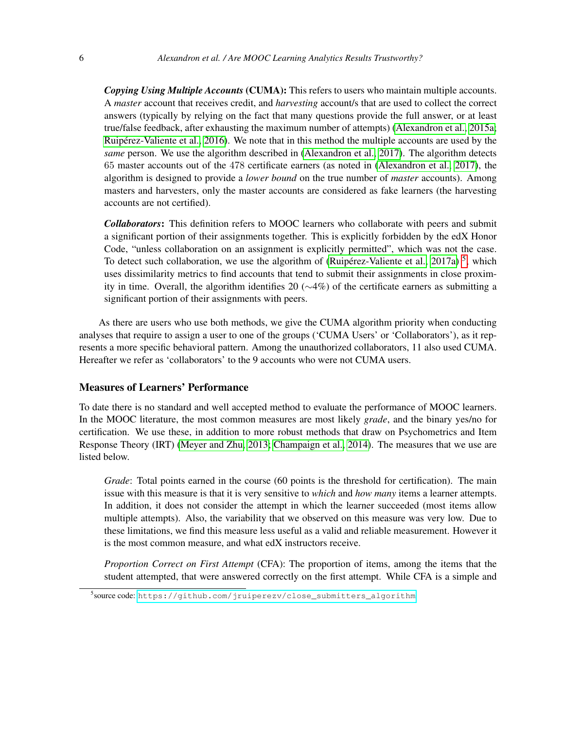*Copying Using Multiple Accounts* (CUMA): This refers to users who maintain multiple accounts. A *master* account that receives credit, and *harvesting* account/s that are used to collect the correct answers (typically by relying on the fact that many questions provide the full answer, or at least true/false feedback, after exhausting the maximum number of attempts) [\(Alexandron et al., 2015a;](#page-18-1) [Ruipérez-Valiente et al., 2016\)](#page-21-0). We note that in this method the multiple accounts are used by the *same* person. We use the algorithm described in [\(Alexandron et al., 2017\)](#page-18-0). The algorithm detects 65 master accounts out of the 478 certificate earners (as noted in [\(Alexandron et al., 2017\)](#page-18-0), the algorithm is designed to provide a *lower bound* on the true number of *master* accounts). Among masters and harvesters, only the master accounts are considered as fake learners (the harvesting accounts are not certified).

*Collaborators*: This definition refers to MOOC learners who collaborate with peers and submit a significant portion of their assignments together. This is explicitly forbidden by the edX Honor Code, "unless collaboration on an assignment is explicitly permitted", which was not the case. To detect such collaboration, we use the algorithm of [\(Ruipérez-Valiente et al., 2017a\)](#page-21-8)<sup>[5](#page-6-0)</sup>, which uses dissimilarity metrics to find accounts that tend to submit their assignments in close proximity in time. Overall, the algorithm identifies 20 (∼4%) of the certificate earners as submitting a significant portion of their assignments with peers.

As there are users who use both methods, we give the CUMA algorithm priority when conducting analyses that require to assign a user to one of the groups ('CUMA Users' or 'Collaborators'), as it represents a more specific behavioral pattern. Among the unauthorized collaborators, 11 also used CUMA. Hereafter we refer as 'collaborators' to the 9 accounts who were not CUMA users.

#### Measures of Learners' Performance

To date there is no standard and well accepted method to evaluate the performance of MOOC learners. In the MOOC literature, the most common measures are most likely *grade*, and the binary yes/no for certification. We use these, in addition to more robust methods that draw on Psychometrics and Item Response Theory (IRT) [\(Meyer and Zhu, 2013;](#page-20-11) [Champaign et al., 2014\)](#page-19-0). The measures that we use are listed below.

*Grade*: Total points earned in the course (60 points is the threshold for certification). The main issue with this measure is that it is very sensitive to *which* and *how many* items a learner attempts. In addition, it does not consider the attempt in which the learner succeeded (most items allow multiple attempts). Also, the variability that we observed on this measure was very low. Due to these limitations, we find this measure less useful as a valid and reliable measurement. However it is the most common measure, and what edX instructors receive.

*Proportion Correct on First Attempt* (CFA): The proportion of items, among the items that the student attempted, that were answered correctly on the first attempt. While CFA is a simple and

<span id="page-6-0"></span><sup>&</sup>lt;sup>5</sup>source code: [https://github.com/jruiperezv/close\\_submitters\\_algorithm](https://github.com/jruiperezv/close_submitters_algorithm)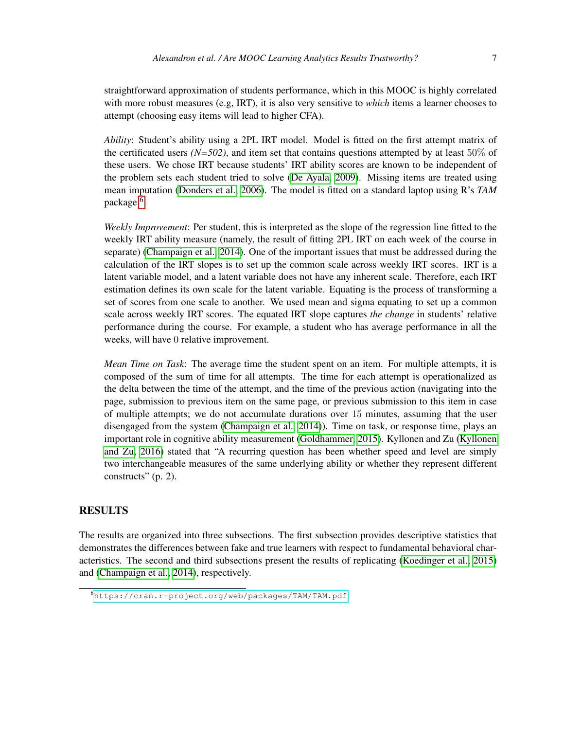straightforward approximation of students performance, which in this MOOC is highly correlated with more robust measures (e.g, IRT), it is also very sensitive to *which* items a learner chooses to attempt (choosing easy items will lead to higher CFA).

*Ability*: Student's ability using a 2PL IRT model. Model is fitted on the first attempt matrix of the certificated users *(N=502)*, and item set that contains questions attempted by at least 50% of these users. We chose IRT because students' IRT ability scores are known to be independent of the problem sets each student tried to solve [\(De Ayala, 2009\)](#page-19-9). Missing items are treated using mean imputation [\(Donders et al., 2006\)](#page-19-10). The model is fitted on a standard laptop using R's *TAM* package <sup>[6](#page-7-0)</sup>.

*Weekly Improvement*: Per student, this is interpreted as the slope of the regression line fitted to the weekly IRT ability measure (namely, the result of fitting 2PL IRT on each week of the course in separate) [\(Champaign et al., 2014\)](#page-19-0). One of the important issues that must be addressed during the calculation of the IRT slopes is to set up the common scale across weekly IRT scores. IRT is a latent variable model, and a latent variable does not have any inherent scale. Therefore, each IRT estimation defines its own scale for the latent variable. Equating is the process of transforming a set of scores from one scale to another. We used mean and sigma equating to set up a common scale across weekly IRT scores. The equated IRT slope captures *the change* in students' relative performance during the course. For example, a student who has average performance in all the weeks, will have 0 relative improvement.

*Mean Time on Task*: The average time the student spent on an item. For multiple attempts, it is composed of the sum of time for all attempts. The time for each attempt is operationalized as the delta between the time of the attempt, and the time of the previous action (navigating into the page, submission to previous item on the same page, or previous submission to this item in case of multiple attempts; we do not accumulate durations over 15 minutes, assuming that the user disengaged from the system [\(Champaign et al., 2014\)](#page-19-0)). Time on task, or response time, plays an important role in cognitive ability measurement [\(Goldhammer, 2015\)](#page-19-11). Kyllonen and Zu [\(Kyllonen](#page-20-12) [and Zu, 2016\)](#page-20-12) stated that "A recurring question has been whether speed and level are simply two interchangeable measures of the same underlying ability or whether they represent different constructs" (p. 2).

#### **RESULTS**

The results are organized into three subsections. The first subsection provides descriptive statistics that demonstrates the differences between fake and true learners with respect to fundamental behavioral characteristics. The second and third subsections present the results of replicating [\(Koedinger et al., 2015\)](#page-20-0) and [\(Champaign et al., 2014\)](#page-19-0), respectively.

<span id="page-7-0"></span><sup>6</sup><https://cran.r-project.org/web/packages/TAM/TAM.pdf>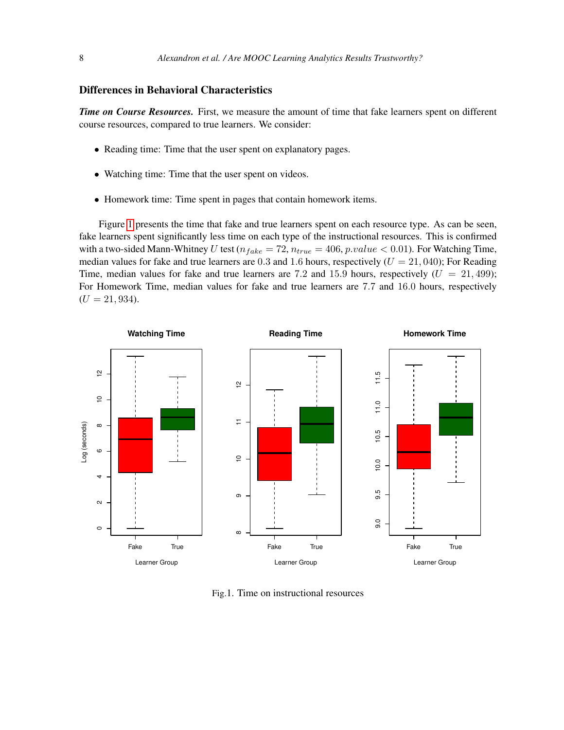#### Differences in Behavioral Characteristics

*Time on Course Resources.* First, we measure the amount of time that fake learners spent on different course resources, compared to true learners. We consider:

- Reading time: Time that the user spent on explanatory pages.
- Watching time: Time that the user spent on videos.
- Homework time: Time spent in pages that contain homework items.

Figure [1](#page-8-0) presents the time that fake and true learners spent on each resource type. As can be seen, fake learners spent significantly less time on each type of the instructional resources. This is confirmed with a two-sided Mann-Whitney U test ( $n_{fake} = 72$ ,  $n_{true} = 406$ ,  $p.value < 0.01$ ). For Watching Time, median values for fake and true learners are 0.3 and 1.6 hours, respectively  $(U = 21,040)$ ; For Reading Time, median values for fake and true learners are 7.2 and 15.9 hours, respectively  $(U = 21,499)$ ; For Homework Time, median values for fake and true learners are 7.7 and 16.0 hours, respectively  $(U = 21, 934).$ 

<span id="page-8-0"></span>

Fig.1. Time on instructional resources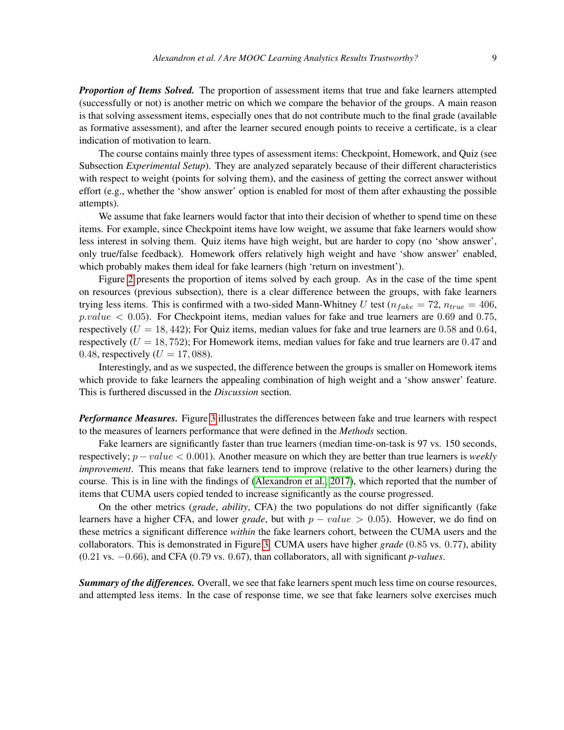*Proportion of Items Solved.* The proportion of assessment items that true and fake learners attempted (successfully or not) is another metric on which we compare the behavior of the groups. A main reason is that solving assessment items, especially ones that do not contribute much to the final grade (available as formative assessment), and after the learner secured enough points to receive a certificate, is a clear indication of motivation to learn.

The course contains mainly three types of assessment items: Checkpoint, Homework, and Quiz (see Subsection *Experimental Setup*). They are analyzed separately because of their different characteristics with respect to weight (points for solving them), and the easiness of getting the correct answer without effort (e.g., whether the 'show answer' option is enabled for most of them after exhausting the possible attempts).

We assume that fake learners would factor that into their decision of whether to spend time on these items. For example, since Checkpoint items have low weight, we assume that fake learners would show less interest in solving them. Quiz items have high weight, but are harder to copy (no 'show answer', only true/false feedback). Homework offers relatively high weight and have 'show answer' enabled, which probably makes them ideal for fake learners (high 'return on investment').

Figure [2](#page-10-0) presents the proportion of items solved by each group. As in the case of the time spent on resources (previous subsection), there is a clear difference between the groups, with fake learners trying less items. This is confirmed with a two-sided Mann-Whitney U test ( $n_{fake} = 72$ ,  $n_{true} = 406$ ,  $p-value < 0.05$ ). For Checkpoint items, median values for fake and true learners are 0.69 and 0.75, respectively  $(U = 18, 442)$ ; For Quiz items, median values for fake and true learners are 0.58 and 0.64, respectively  $(U = 18, 752)$ ; For Homework items, median values for fake and true learners are 0.47 and 0.48, respectively ( $U = 17,088$ ).

Interestingly, and as we suspected, the difference between the groups is smaller on Homework items which provide to fake learners the appealing combination of high weight and a 'show answer' feature. This is furthered discussed in the *Discussion* section.

*Performance Measures.* Figure [3](#page-11-0) illustrates the differences between fake and true learners with respect to the measures of learners performance that were defined in the *Methods* section.

Fake learners are significantly faster than true learners (median time-on-task is 97 vs. 150 seconds, respectively; p − value < 0.001). Another measure on which they are better than true learners is *weekly improvement*. This means that fake learners tend to improve (relative to the other learners) during the course. This is in line with the findings of [\(Alexandron et al., 2017\)](#page-18-0), which reported that the number of items that CUMA users copied tended to increase significantly as the course progressed.

On the other metrics (*grade*, *ability*, CFA) the two populations do not differ significantly (fake learners have a higher CFA, and lower *grade*, but with  $p - value > 0.05$ ). However, we do find on these metrics a significant difference *within* the fake learners cohort, between the CUMA users and the collaborators. This is demonstrated in Figure [3.](#page-11-0) CUMA users have higher *grade* (0.85 vs. 0.77), ability (0.21 vs. −0.66), and CFA (0.79 vs. 0.67), than collaborators, all with significant *p-values*.

*Summary of the differences.* Overall, we see that fake learners spent much less time on course resources, and attempted less items. In the case of response time, we see that fake learners solve exercises much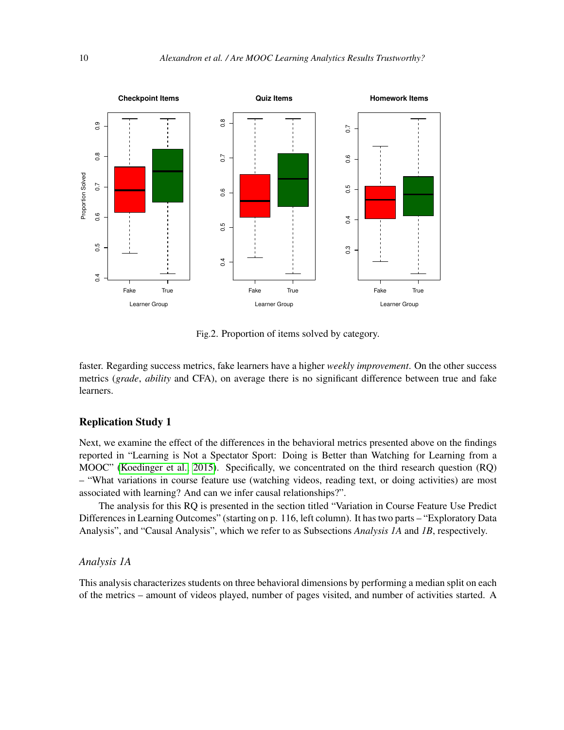<span id="page-10-0"></span>

Fig.2. Proportion of items solved by category.

faster. Regarding success metrics, fake learners have a higher *weekly improvement*. On the other success metrics (*grade*, *ability* and CFA), on average there is no significant difference between true and fake learners.

#### Replication Study 1

Next, we examine the effect of the differences in the behavioral metrics presented above on the findings reported in "Learning is Not a Spectator Sport: Doing is Better than Watching for Learning from a MOOC" [\(Koedinger et al., 2015\)](#page-20-0). Specifically, we concentrated on the third research question (RQ) – "What variations in course feature use (watching videos, reading text, or doing activities) are most associated with learning? And can we infer causal relationships?".

The analysis for this RQ is presented in the section titled "Variation in Course Feature Use Predict Differences in Learning Outcomes" (starting on p. 116, left column). It has two parts – "Exploratory Data Analysis", and "Causal Analysis", which we refer to as Subsections *Analysis 1A* and *1B*, respectively.

#### *Analysis 1A*

This analysis characterizes students on three behavioral dimensions by performing a median split on each of the metrics – amount of videos played, number of pages visited, and number of activities started. A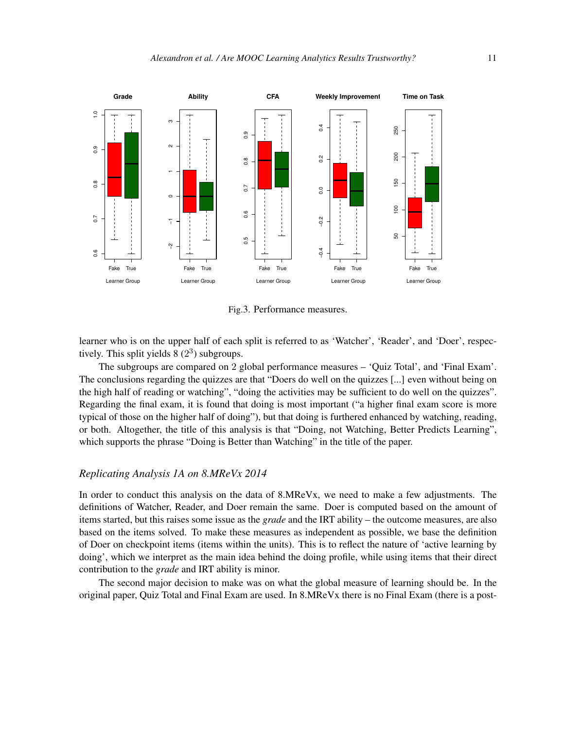<span id="page-11-0"></span>

Fig.3. Performance measures.

learner who is on the upper half of each split is referred to as 'Watcher', 'Reader', and 'Doer', respectively. This split yields  $8(2^3)$  subgroups.

The subgroups are compared on 2 global performance measures – 'Quiz Total', and 'Final Exam'. The conclusions regarding the quizzes are that "Doers do well on the quizzes [...] even without being on the high half of reading or watching", "doing the activities may be sufficient to do well on the quizzes". Regarding the final exam, it is found that doing is most important ("a higher final exam score is more typical of those on the higher half of doing"), but that doing is furthered enhanced by watching, reading, or both. Altogether, the title of this analysis is that "Doing, not Watching, Better Predicts Learning", which supports the phrase "Doing is Better than Watching" in the title of the paper.

#### *Replicating Analysis 1A on 8.MReVx 2014*

In order to conduct this analysis on the data of 8.MReVx, we need to make a few adjustments. The definitions of Watcher, Reader, and Doer remain the same. Doer is computed based on the amount of items started, but this raises some issue as the *grade* and the IRT ability – the outcome measures, are also based on the items solved. To make these measures as independent as possible, we base the definition of Doer on checkpoint items (items within the units). This is to reflect the nature of 'active learning by doing', which we interpret as the main idea behind the doing profile, while using items that their direct contribution to the *grade* and IRT ability is minor.

The second major decision to make was on what the global measure of learning should be. In the original paper, Quiz Total and Final Exam are used. In 8.MReVx there is no Final Exam (there is a post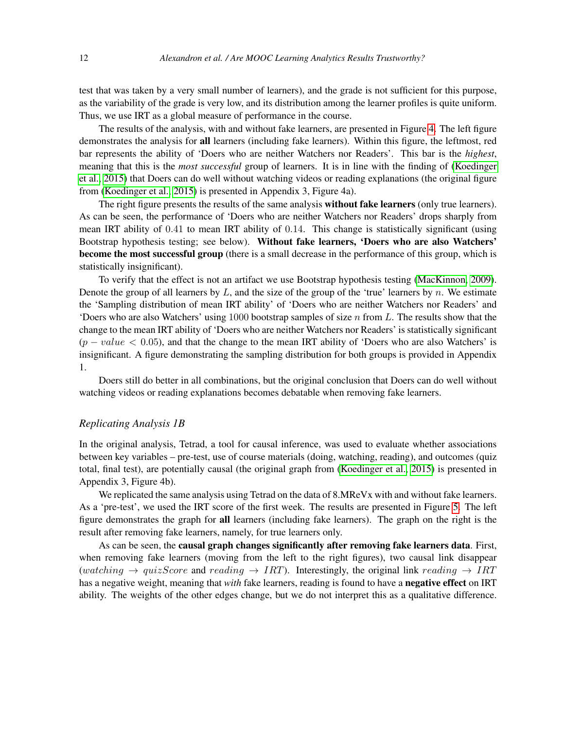test that was taken by a very small number of learners), and the grade is not sufficient for this purpose, as the variability of the grade is very low, and its distribution among the learner profiles is quite uniform. Thus, we use IRT as a global measure of performance in the course.

The results of the analysis, with and without fake learners, are presented in Figure [4.](#page-13-0) The left figure demonstrates the analysis for all learners (including fake learners). Within this figure, the leftmost, red bar represents the ability of 'Doers who are neither Watchers nor Readers'. This bar is the *highest*, meaning that this is the *most successful* group of learners. It is in line with the finding of [\(Koedinger](#page-20-0) [et al., 2015\)](#page-20-0) that Doers can do well without watching videos or reading explanations (the original figure from [\(Koedinger et al., 2015\)](#page-20-0) is presented in Appendix 3, Figure 4a).

The right figure presents the results of the same analysis **without fake learners** (only true learners). As can be seen, the performance of 'Doers who are neither Watchers nor Readers' drops sharply from mean IRT ability of 0.41 to mean IRT ability of 0.14. This change is statistically significant (using Bootstrap hypothesis testing; see below). Without fake learners, 'Doers who are also Watchers' become the most successful group (there is a small decrease in the performance of this group, which is statistically insignificant).

To verify that the effect is not an artifact we use Bootstrap hypothesis testing [\(MacKinnon, 2009\)](#page-20-13). Denote the group of all learners by  $L$ , and the size of the group of the 'true' learners by  $n$ . We estimate the 'Sampling distribution of mean IRT ability' of 'Doers who are neither Watchers nor Readers' and 'Doers who are also Watchers' using 1000 bootstrap samples of size  $n$  from L. The results show that the change to the mean IRT ability of 'Doers who are neither Watchers nor Readers' is statistically significant  $(p - value < 0.05)$ , and that the change to the mean IRT ability of 'Doers who are also Watchers' is insignificant. A figure demonstrating the sampling distribution for both groups is provided in Appendix 1.

Doers still do better in all combinations, but the original conclusion that Doers can do well without watching videos or reading explanations becomes debatable when removing fake learners.

#### *Replicating Analysis 1B*

In the original analysis, Tetrad, a tool for causal inference, was used to evaluate whether associations between key variables – pre-test, use of course materials (doing, watching, reading), and outcomes (quiz total, final test), are potentially causal (the original graph from [\(Koedinger et al., 2015\)](#page-20-0) is presented in Appendix 3, Figure 4b).

We replicated the same analysis using Tetrad on the data of 8.MReV<sub>x</sub> with and without fake learners. As a 'pre-test', we used the IRT score of the first week. The results are presented in Figure [5.](#page-14-0) The left figure demonstrates the graph for all learners (including fake learners). The graph on the right is the result after removing fake learners, namely, for true learners only.

As can be seen, the causal graph changes significantly after removing fake learners data. First, when removing fake learners (moving from the left to the right figures), two causal link disappear (watching  $\rightarrow$  quizScore and reading  $\rightarrow$  IRT). Interestingly, the original link reading  $\rightarrow$  IRT has a negative weight, meaning that *with* fake learners, reading is found to have a negative effect on IRT ability. The weights of the other edges change, but we do not interpret this as a qualitative difference.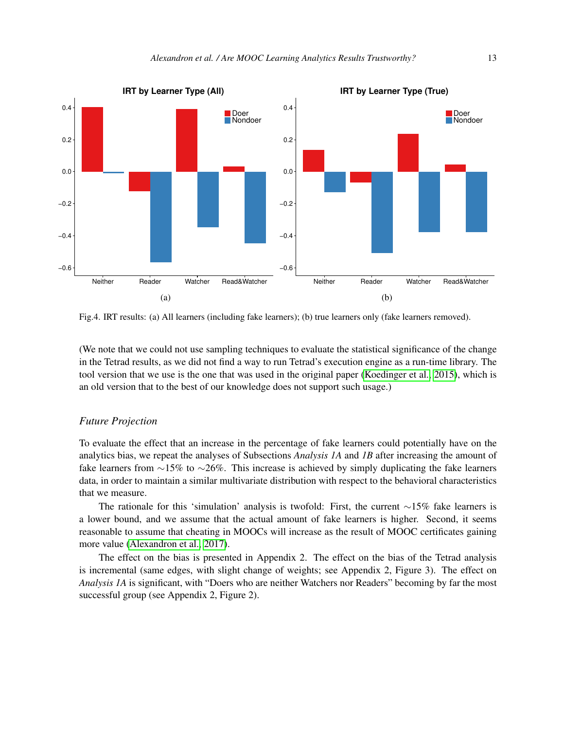<span id="page-13-0"></span>

Fig.4. IRT results: (a) All learners (including fake learners); (b) true learners only (fake learners removed).

(We note that we could not use sampling techniques to evaluate the statistical significance of the change in the Tetrad results, as we did not find a way to run Tetrad's execution engine as a run-time library. The tool version that we use is the one that was used in the original paper [\(Koedinger et al., 2015\)](#page-20-0), which is an old version that to the best of our knowledge does not support such usage.)

#### *Future Projection*

To evaluate the effect that an increase in the percentage of fake learners could potentially have on the analytics bias, we repeat the analyses of Subsections *Analysis 1A* and *1B* after increasing the amount of fake learners from ∼15% to ∼26%. This increase is achieved by simply duplicating the fake learners data, in order to maintain a similar multivariate distribution with respect to the behavioral characteristics that we measure.

The rationale for this 'simulation' analysis is twofold: First, the current ∼15% fake learners is a lower bound, and we assume that the actual amount of fake learners is higher. Second, it seems reasonable to assume that cheating in MOOCs will increase as the result of MOOC certificates gaining more value [\(Alexandron et al., 2017\)](#page-18-0).

The effect on the bias is presented in Appendix 2. The effect on the bias of the Tetrad analysis is incremental (same edges, with slight change of weights; see Appendix 2, Figure 3). The effect on *Analysis 1A* is significant, with "Doers who are neither Watchers nor Readers" becoming by far the most successful group (see Appendix 2, Figure 2).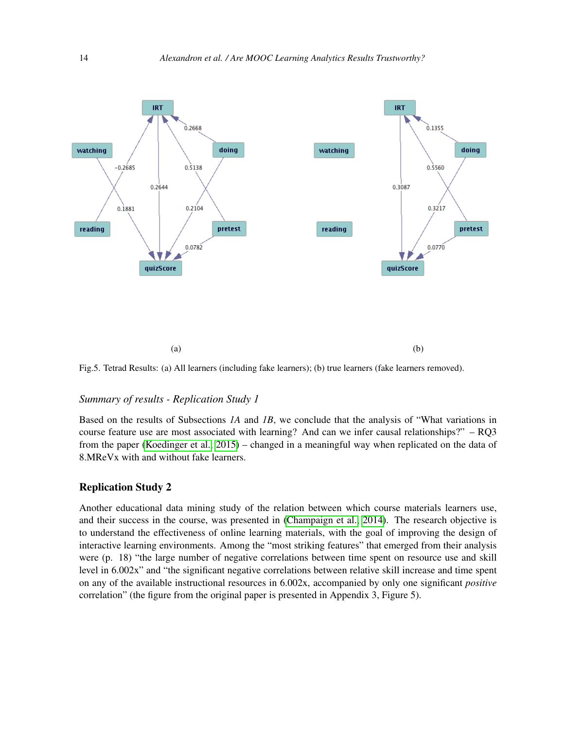<span id="page-14-0"></span>

Fig.5. Tetrad Results: (a) All learners (including fake learners); (b) true learners (fake learners removed).

#### *Summary of results - Replication Study 1*

Based on the results of Subsections *1A* and *1B*, we conclude that the analysis of "What variations in course feature use are most associated with learning? And can we infer causal relationships?" – RQ3 from the paper [\(Koedinger et al., 2015\)](#page-20-0) – changed in a meaningful way when replicated on the data of 8.MReVx with and without fake learners.

#### Replication Study 2

Another educational data mining study of the relation between which course materials learners use, and their success in the course, was presented in [\(Champaign et al., 2014\)](#page-19-0). The research objective is to understand the effectiveness of online learning materials, with the goal of improving the design of interactive learning environments. Among the "most striking features" that emerged from their analysis were (p. 18) "the large number of negative correlations between time spent on resource use and skill level in 6.002x" and "the significant negative correlations between relative skill increase and time spent on any of the available instructional resources in 6.002x, accompanied by only one significant *positive* correlation" (the figure from the original paper is presented in Appendix 3, Figure 5).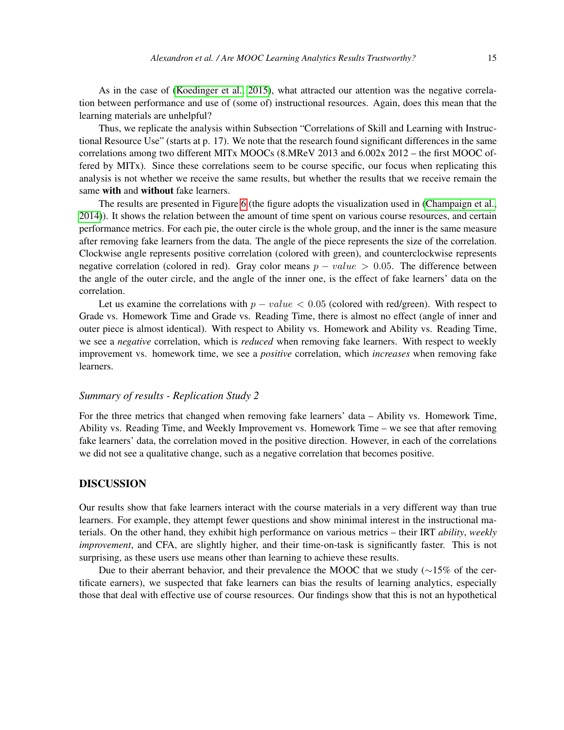As in the case of [\(Koedinger et al., 2015\)](#page-20-0), what attracted our attention was the negative correlation between performance and use of (some of) instructional resources. Again, does this mean that the learning materials are unhelpful?

Thus, we replicate the analysis within Subsection "Correlations of Skill and Learning with Instructional Resource Use" (starts at p. 17). We note that the research found significant differences in the same correlations among two different MITx MOOCs (8.MReV 2013 and 6.002x 2012 – the first MOOC offered by MITx). Since these correlations seem to be course specific, our focus when replicating this analysis is not whether we receive the same results, but whether the results that we receive remain the same with and without fake learners.

The results are presented in Figure [6](#page-16-0) (the figure adopts the visualization used in [\(Champaign et al.,](#page-19-0) [2014\)](#page-19-0)). It shows the relation between the amount of time spent on various course resources, and certain performance metrics. For each pie, the outer circle is the whole group, and the inner is the same measure after removing fake learners from the data. The angle of the piece represents the size of the correlation. Clockwise angle represents positive correlation (colored with green), and counterclockwise represents negative correlation (colored in red). Gray color means  $p - value > 0.05$ . The difference between the angle of the outer circle, and the angle of the inner one, is the effect of fake learners' data on the correlation.

Let us examine the correlations with  $p - value < 0.05$  (colored with red/green). With respect to Grade vs. Homework Time and Grade vs. Reading Time, there is almost no effect (angle of inner and outer piece is almost identical). With respect to Ability vs. Homework and Ability vs. Reading Time, we see a *negative* correlation, which is *reduced* when removing fake learners. With respect to weekly improvement vs. homework time, we see a *positive* correlation, which *increases* when removing fake learners.

#### *Summary of results - Replication Study 2*

For the three metrics that changed when removing fake learners' data – Ability vs. Homework Time, Ability vs. Reading Time, and Weekly Improvement vs. Homework Time – we see that after removing fake learners' data, the correlation moved in the positive direction. However, in each of the correlations we did not see a qualitative change, such as a negative correlation that becomes positive.

#### DISCUSSION

Our results show that fake learners interact with the course materials in a very different way than true learners. For example, they attempt fewer questions and show minimal interest in the instructional materials. On the other hand, they exhibit high performance on various metrics – their IRT *ability*, *weekly improvement*, and CFA, are slightly higher, and their time-on-task is significantly faster. This is not surprising, as these users use means other than learning to achieve these results.

Due to their aberrant behavior, and their prevalence the MOOC that we study (∼15% of the certificate earners), we suspected that fake learners can bias the results of learning analytics, especially those that deal with effective use of course resources. Our findings show that this is not an hypothetical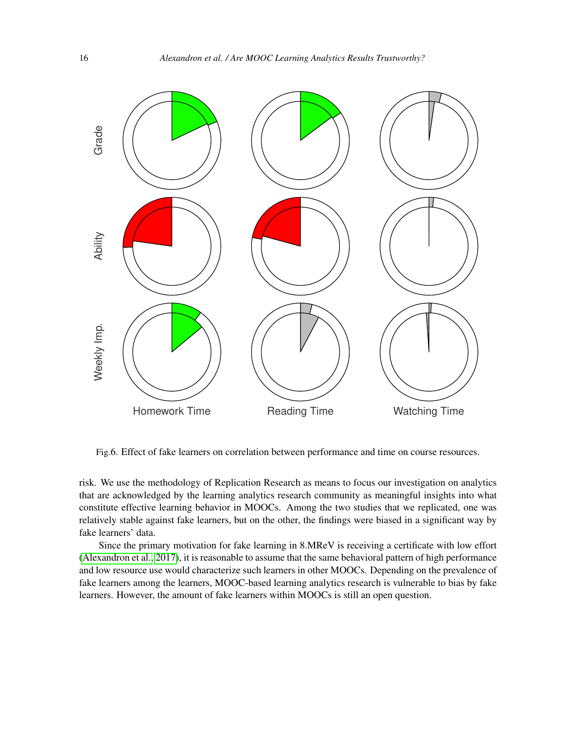<span id="page-16-0"></span>

Fig.6. Effect of fake learners on correlation between performance and time on course resources.

risk. We use the methodology of Replication Research as means to focus our investigation on analytics that are acknowledged by the learning analytics research community as meaningful insights into what constitute effective learning behavior in MOOCs. Among the two studies that we replicated, one was relatively stable against fake learners, but on the other, the findings were biased in a significant way by fake learners' data.

Since the primary motivation for fake learning in 8.MReV is receiving a certificate with low effort [\(Alexandron et al., 2017\)](#page-18-0), it is reasonable to assume that the same behavioral pattern of high performance and low resource use would characterize such learners in other MOOCs. Depending on the prevalence of fake learners among the learners, MOOC-based learning analytics research is vulnerable to bias by fake learners. However, the amount of fake learners within MOOCs is still an open question.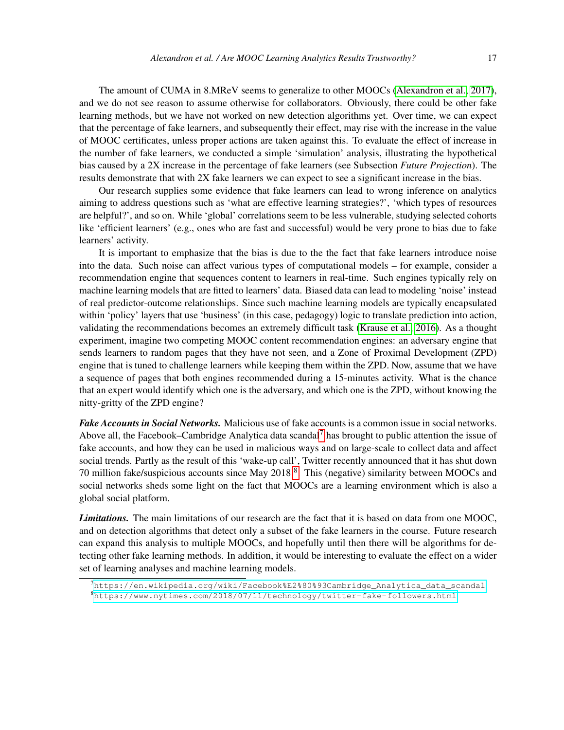The amount of CUMA in 8.MReV seems to generalize to other MOOCs [\(Alexandron et al., 2017\)](#page-18-0), and we do not see reason to assume otherwise for collaborators. Obviously, there could be other fake learning methods, but we have not worked on new detection algorithms yet. Over time, we can expect that the percentage of fake learners, and subsequently their effect, may rise with the increase in the value of MOOC certificates, unless proper actions are taken against this. To evaluate the effect of increase in the number of fake learners, we conducted a simple 'simulation' analysis, illustrating the hypothetical bias caused by a 2X increase in the percentage of fake learners (see Subsection *Future Projection*). The results demonstrate that with 2X fake learners we can expect to see a significant increase in the bias.

Our research supplies some evidence that fake learners can lead to wrong inference on analytics aiming to address questions such as 'what are effective learning strategies?', 'which types of resources are helpful?', and so on. While 'global' correlations seem to be less vulnerable, studying selected cohorts like 'efficient learners' (e.g., ones who are fast and successful) would be very prone to bias due to fake learners' activity.

It is important to emphasize that the bias is due to the the fact that fake learners introduce noise into the data. Such noise can affect various types of computational models – for example, consider a recommendation engine that sequences content to learners in real-time. Such engines typically rely on machine learning models that are fitted to learners' data. Biased data can lead to modeling 'noise' instead of real predictor-outcome relationships. Since such machine learning models are typically encapsulated within 'policy' layers that use 'business' (in this case, pedagogy) logic to translate prediction into action, validating the recommendations becomes an extremely difficult task [\(Krause et al., 2016\)](#page-20-6). As a thought experiment, imagine two competing MOOC content recommendation engines: an adversary engine that sends learners to random pages that they have not seen, and a Zone of Proximal Development (ZPD) engine that is tuned to challenge learners while keeping them within the ZPD. Now, assume that we have a sequence of pages that both engines recommended during a 15-minutes activity. What is the chance that an expert would identify which one is the adversary, and which one is the ZPD, without knowing the nitty-gritty of the ZPD engine?

*Fake Accounts in Social Networks.* Malicious use of fake accounts is a common issue in social networks. Above all, the Facebook–Cambridge Analytica data scandal<sup>[7](#page-17-0)</sup> has brought to public attention the issue of fake accounts, and how they can be used in malicious ways and on large-scale to collect data and affect social trends. Partly as the result of this 'wake-up call', Twitter recently announced that it has shut down 70 million fake/suspicious accounts since May 201[8](#page-17-1) <sup>8</sup>. This (negative) similarity between MOOCs and social networks sheds some light on the fact that MOOCs are a learning environment which is also a global social platform.

*Limitations.* The main limitations of our research are the fact that it is based on data from one MOOC, and on detection algorithms that detect only a subset of the fake learners in the course. Future research can expand this analysis to multiple MOOCs, and hopefully until then there will be algorithms for detecting other fake learning methods. In addition, it would be interesting to evaluate the effect on a wider set of learning analyses and machine learning models.

<span id="page-17-1"></span><span id="page-17-0"></span> $^{7}$ [https://en.wikipedia.org/wiki/Facebook%E2%80%93Cambridge\\_Analytica\\_data\\_scandal](https://en.wikipedia.org/wiki/Facebook%E2%80%93Cambridge_Analytica_data_scandal) <sup>8</sup><https://www.nytimes.com/2018/07/11/technology/twitter-fake-followers.html>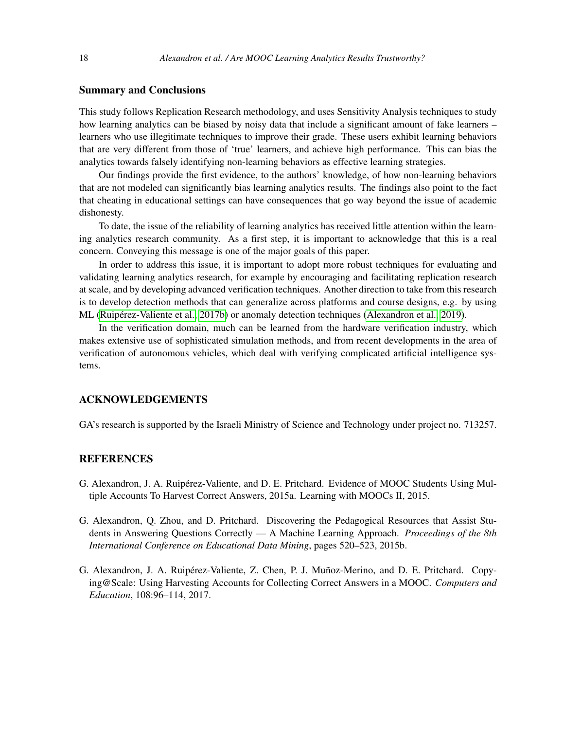#### Summary and Conclusions

This study follows Replication Research methodology, and uses Sensitivity Analysis techniques to study how learning analytics can be biased by noisy data that include a significant amount of fake learners – learners who use illegitimate techniques to improve their grade. These users exhibit learning behaviors that are very different from those of 'true' learners, and achieve high performance. This can bias the analytics towards falsely identifying non-learning behaviors as effective learning strategies.

Our findings provide the first evidence, to the authors' knowledge, of how non-learning behaviors that are not modeled can significantly bias learning analytics results. The findings also point to the fact that cheating in educational settings can have consequences that go way beyond the issue of academic dishonesty.

To date, the issue of the reliability of learning analytics has received little attention within the learning analytics research community. As a first step, it is important to acknowledge that this is a real concern. Conveying this message is one of the major goals of this paper.

In order to address this issue, it is important to adopt more robust techniques for evaluating and validating learning analytics research, for example by encouraging and facilitating replication research at scale, and by developing advanced verification techniques. Another direction to take from this research is to develop detection methods that can generalize across platforms and course designs, e.g. by using ML [\(Ruipérez-Valiente et al., 2017b\)](#page-21-10) or anomaly detection techniques [\(Alexandron et al., 2019\)](#page-19-12).

In the verification domain, much can be learned from the hardware verification industry, which makes extensive use of sophisticated simulation methods, and from recent developments in the area of verification of autonomous vehicles, which deal with verifying complicated artificial intelligence systems.

#### ACKNOWLEDGEMENTS

GA's research is supported by the Israeli Ministry of Science and Technology under project no. 713257.

#### **REFERENCES**

- <span id="page-18-1"></span>G. Alexandron, J. A. Ruipérez-Valiente, and D. E. Pritchard. Evidence of MOOC Students Using Multiple Accounts To Harvest Correct Answers, 2015a. Learning with MOOCs II, 2015.
- <span id="page-18-2"></span>G. Alexandron, Q. Zhou, and D. Pritchard. Discovering the Pedagogical Resources that Assist Students in Answering Questions Correctly — A Machine Learning Approach. *Proceedings of the 8th International Conference on Educational Data Mining*, pages 520–523, 2015b.
- <span id="page-18-0"></span>G. Alexandron, J. A. Ruipérez-Valiente, Z. Chen, P. J. Muñoz-Merino, and D. E. Pritchard. Copying@Scale: Using Harvesting Accounts for Collecting Correct Answers in a MOOC. *Computers and Education*, 108:96–114, 2017.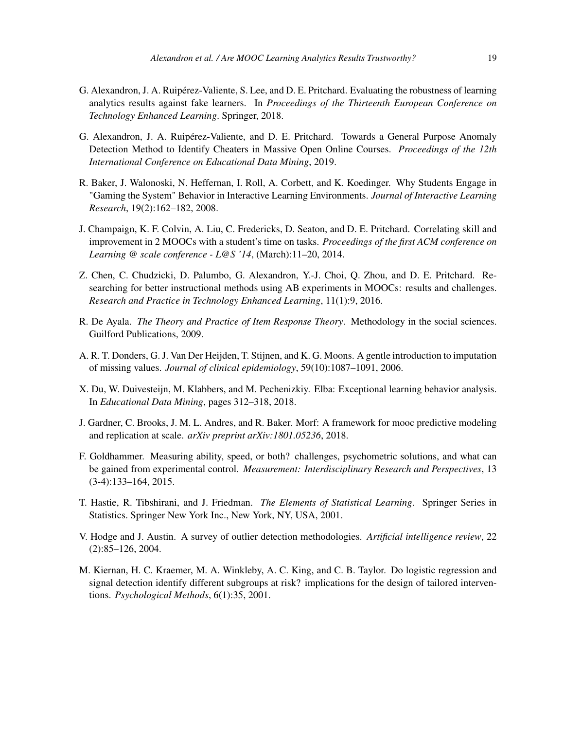- <span id="page-19-6"></span>G. Alexandron, J. A. Ruipérez-Valiente, S. Lee, and D. E. Pritchard. Evaluating the robustness of learning analytics results against fake learners. In *Proceedings of the Thirteenth European Conference on Technology Enhanced Learning*. Springer, 2018.
- <span id="page-19-12"></span>G. Alexandron, J. A. Ruipérez-Valiente, and D. E. Pritchard. Towards a General Purpose Anomaly Detection Method to Identify Cheaters in Massive Open Online Courses. *Proceedings of the 12th International Conference on Educational Data Mining*, 2019.
- <span id="page-19-8"></span>R. Baker, J. Walonoski, N. Heffernan, I. Roll, A. Corbett, and K. Koedinger. Why Students Engage in "Gaming the System" Behavior in Interactive Learning Environments. *Journal of Interactive Learning Research*, 19(2):162–182, 2008.
- <span id="page-19-0"></span>J. Champaign, K. F. Colvin, A. Liu, C. Fredericks, D. Seaton, and D. E. Pritchard. Correlating skill and improvement in 2 MOOCs with a student's time on tasks. *Proceedings of the first ACM conference on Learning @ scale conference - L@S '14*, (March):11–20, 2014.
- <span id="page-19-1"></span>Z. Chen, C. Chudzicki, D. Palumbo, G. Alexandron, Y.-J. Choi, Q. Zhou, and D. E. Pritchard. Researching for better instructional methods using AB experiments in MOOCs: results and challenges. *Research and Practice in Technology Enhanced Learning*, 11(1):9, 2016.
- <span id="page-19-9"></span>R. De Ayala. *The Theory and Practice of Item Response Theory*. Methodology in the social sciences. Guilford Publications, 2009.
- <span id="page-19-10"></span>A. R. T. Donders, G. J. Van Der Heijden, T. Stijnen, and K. G. Moons. A gentle introduction to imputation of missing values. *Journal of clinical epidemiology*, 59(10):1087–1091, 2006.
- <span id="page-19-3"></span>X. Du, W. Duivesteijn, M. Klabbers, and M. Pechenizkiy. Elba: Exceptional learning behavior analysis. In *Educational Data Mining*, pages 312–318, 2018.
- <span id="page-19-7"></span>J. Gardner, C. Brooks, J. M. L. Andres, and R. Baker. Morf: A framework for mooc predictive modeling and replication at scale. *arXiv preprint arXiv:1801.05236*, 2018.
- <span id="page-19-11"></span>F. Goldhammer. Measuring ability, speed, or both? challenges, psychometric solutions, and what can be gained from experimental control. *Measurement: Interdisciplinary Research and Perspectives*, 13 (3-4):133–164, 2015.
- <span id="page-19-5"></span>T. Hastie, R. Tibshirani, and J. Friedman. *The Elements of Statistical Learning*. Springer Series in Statistics. Springer New York Inc., New York, NY, USA, 2001.
- <span id="page-19-2"></span>V. Hodge and J. Austin. A survey of outlier detection methodologies. *Artificial intelligence review*, 22 (2):85–126, 2004.
- <span id="page-19-4"></span>M. Kiernan, H. C. Kraemer, M. A. Winkleby, A. C. King, and C. B. Taylor. Do logistic regression and signal detection identify different subgroups at risk? implications for the design of tailored interventions. *Psychological Methods*, 6(1):35, 2001.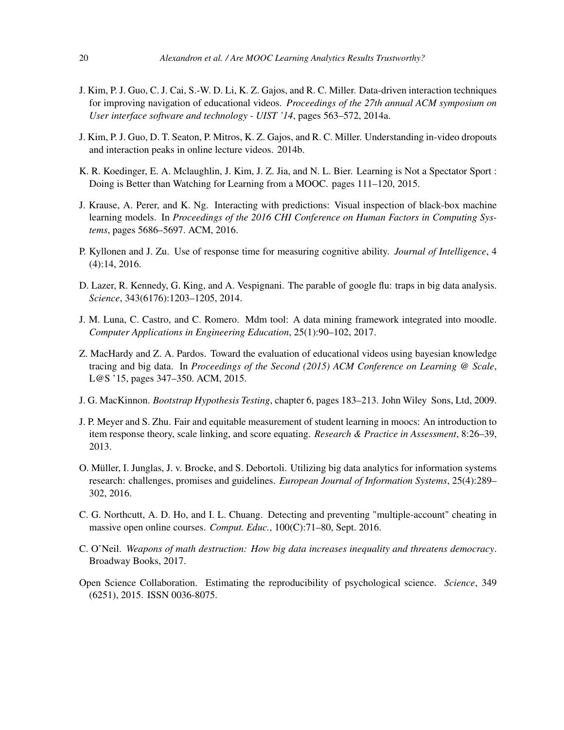- <span id="page-20-1"></span>J. Kim, P. J. Guo, C. J. Cai, S.-W. D. Li, K. Z. Gajos, and R. C. Miller. Data-driven interaction techniques for improving navigation of educational videos. *Proceedings of the 27th annual ACM symposium on User interface software and technology - UIST '14*, pages 563–572, 2014a.
- <span id="page-20-2"></span>J. Kim, P. J. Guo, D. T. Seaton, P. Mitros, K. Z. Gajos, and R. C. Miller. Understanding in-video dropouts and interaction peaks in online lecture videos. 2014b.
- <span id="page-20-0"></span>K. R. Koedinger, E. A. Mclaughlin, J. Kim, J. Z. Jia, and N. L. Bier. Learning is Not a Spectator Sport : Doing is Better than Watching for Learning from a MOOC. pages 111–120, 2015.
- <span id="page-20-6"></span>J. Krause, A. Perer, and K. Ng. Interacting with predictions: Visual inspection of black-box machine learning models. In *Proceedings of the 2016 CHI Conference on Human Factors in Computing Systems*, pages 5686–5697. ACM, 2016.
- <span id="page-20-12"></span>P. Kyllonen and J. Zu. Use of response time for measuring cognitive ability. *Journal of Intelligence*, 4 (4):14, 2016.
- <span id="page-20-5"></span>D. Lazer, R. Kennedy, G. King, and A. Vespignani. The parable of google flu: traps in big data analysis. *Science*, 343(6176):1203–1205, 2014.
- <span id="page-20-4"></span>J. M. Luna, C. Castro, and C. Romero. Mdm tool: A data mining framework integrated into moodle. *Computer Applications in Engineering Education*, 25(1):90–102, 2017.
- <span id="page-20-3"></span>Z. MacHardy and Z. A. Pardos. Toward the evaluation of educational videos using bayesian knowledge tracing and big data. In *Proceedings of the Second (2015) ACM Conference on Learning @ Scale*, L@S '15, pages 347–350. ACM, 2015.
- <span id="page-20-13"></span>J. G. MacKinnon. *Bootstrap Hypothesis Testing*, chapter 6, pages 183–213. John Wiley Sons, Ltd, 2009.
- <span id="page-20-11"></span>J. P. Meyer and S. Zhu. Fair and equitable measurement of student learning in moocs: An introduction to item response theory, scale linking, and score equating. *Research & Practice in Assessment*, 8:26–39, 2013.
- <span id="page-20-7"></span>O. Müller, I. Junglas, J. v. Brocke, and S. Debortoli. Utilizing big data analytics for information systems research: challenges, promises and guidelines. *European Journal of Information Systems*, 25(4):289– 302, 2016.
- <span id="page-20-9"></span>C. G. Northcutt, A. D. Ho, and I. L. Chuang. Detecting and preventing "multiple-account" cheating in massive open online courses. *Comput. Educ.*, 100(C):71–80, Sept. 2016.
- <span id="page-20-8"></span>C. O'Neil. *Weapons of math destruction: How big data increases inequality and threatens democracy*. Broadway Books, 2017.
- <span id="page-20-10"></span>Open Science Collaboration. Estimating the reproducibility of psychological science. *Science*, 349 (6251), 2015. ISSN 0036-8075.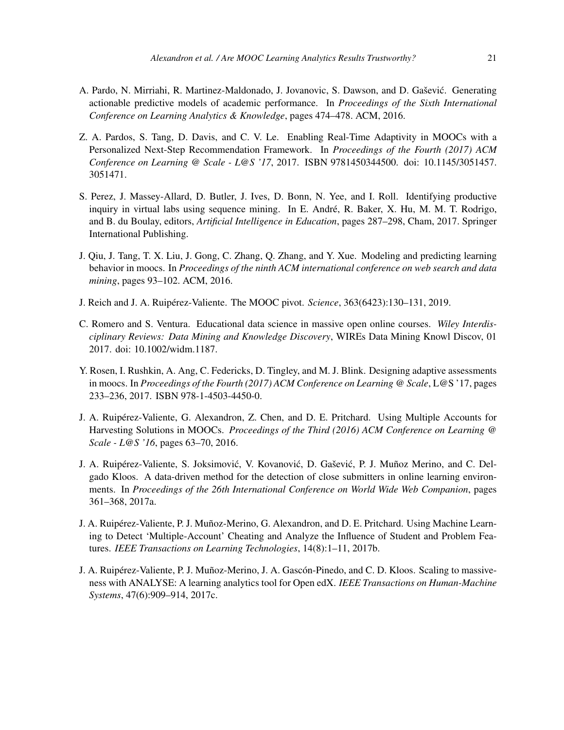- <span id="page-21-7"></span>A. Pardo, N. Mirriahi, R. Martinez-Maldonado, J. Jovanovic, S. Dawson, and D. Gaševic. Generating ´ actionable predictive models of academic performance. In *Proceedings of the Sixth International Conference on Learning Analytics & Knowledge*, pages 474–478. ACM, 2016.
- <span id="page-21-1"></span>Z. A. Pardos, S. Tang, D. Davis, and C. V. Le. Enabling Real-Time Adaptivity in MOOCs with a Personalized Next-Step Recommendation Framework. In *Proceedings of the Fourth (2017) ACM Conference on Learning @ Scale - L@S '17*, 2017. ISBN 9781450344500. doi: 10.1145/3051457. 3051471.
- <span id="page-21-6"></span>S. Perez, J. Massey-Allard, D. Butler, J. Ives, D. Bonn, N. Yee, and I. Roll. Identifying productive inquiry in virtual labs using sequence mining. In E. André, R. Baker, X. Hu, M. M. T. Rodrigo, and B. du Boulay, editors, *Artificial Intelligence in Education*, pages 287–298, Cham, 2017. Springer International Publishing.
- <span id="page-21-5"></span>J. Qiu, J. Tang, T. X. Liu, J. Gong, C. Zhang, Q. Zhang, and Y. Xue. Modeling and predicting learning behavior in moocs. In *Proceedings of the ninth ACM international conference on web search and data mining*, pages 93–102. ACM, 2016.
- <span id="page-21-9"></span>J. Reich and J. A. Ruipérez-Valiente. The MOOC pivot. *Science*, 363(6423):130–131, 2019.
- <span id="page-21-4"></span>C. Romero and S. Ventura. Educational data science in massive open online courses. *Wiley Interdisciplinary Reviews: Data Mining and Knowledge Discovery*, WIREs Data Mining Knowl Discov, 01 2017. doi: 10.1002/widm.1187.
- <span id="page-21-2"></span>Y. Rosen, I. Rushkin, A. Ang, C. Federicks, D. Tingley, and M. J. Blink. Designing adaptive assessments in moocs. In *Proceedings of the Fourth (2017) ACM Conference on Learning @ Scale*, L@S '17, pages 233–236, 2017. ISBN 978-1-4503-4450-0.
- <span id="page-21-0"></span>J. A. Ruipérez-Valiente, G. Alexandron, Z. Chen, and D. E. Pritchard. Using Multiple Accounts for Harvesting Solutions in MOOCs. *Proceedings of the Third (2016) ACM Conference on Learning @ Scale - L@S '16*, pages 63–70, 2016.
- <span id="page-21-8"></span>J. A. Ruipérez-Valiente, S. Joksimović, V. Kovanović, D. Gašević, P. J. Muñoz Merino, and C. Delgado Kloos. A data-driven method for the detection of close submitters in online learning environments. In *Proceedings of the 26th International Conference on World Wide Web Companion*, pages 361–368, 2017a.
- <span id="page-21-10"></span>J. A. Ruipérez-Valiente, P. J. Muñoz-Merino, G. Alexandron, and D. E. Pritchard. Using Machine Learning to Detect 'Multiple-Account' Cheating and Analyze the Influence of Student and Problem Features. *IEEE Transactions on Learning Technologies*, 14(8):1–11, 2017b.
- <span id="page-21-3"></span>J. A. Ruipérez-Valiente, P. J. Muñoz-Merino, J. A. Gascón-Pinedo, and C. D. Kloos. Scaling to massiveness with ANALYSE: A learning analytics tool for Open edX. *IEEE Transactions on Human-Machine Systems*, 47(6):909–914, 2017c.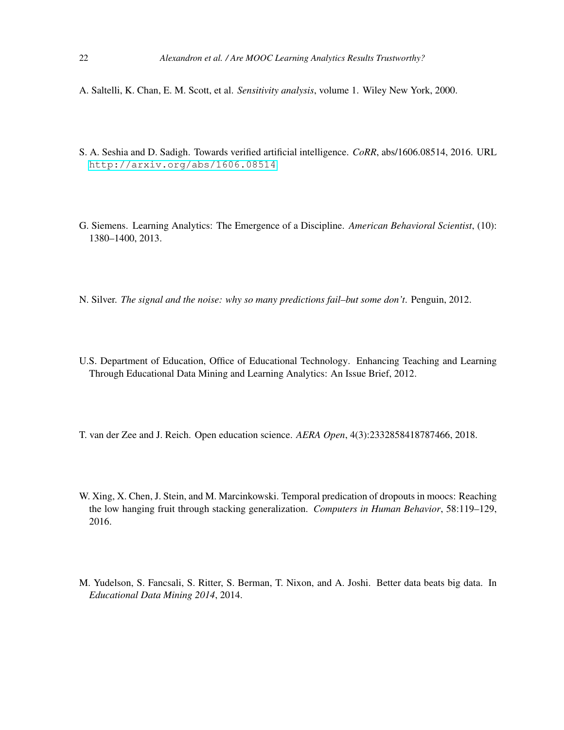- <span id="page-22-6"></span>A. Saltelli, K. Chan, E. M. Scott, et al. *Sensitivity analysis*, volume 1. Wiley New York, 2000.
- <span id="page-22-5"></span>S. A. Seshia and D. Sadigh. Towards verified artificial intelligence. *CoRR*, abs/1606.08514, 2016. URL <http://arxiv.org/abs/1606.08514>.
- <span id="page-22-0"></span>G. Siemens. Learning Analytics: The Emergence of a Discipline. *American Behavioral Scientist*, (10): 1380–1400, 2013.
- <span id="page-22-4"></span>N. Silver. *The signal and the noise: why so many predictions fail–but some don't*. Penguin, 2012.
- <span id="page-22-1"></span>U.S. Department of Education, Office of Educational Technology. Enhancing Teaching and Learning Through Educational Data Mining and Learning Analytics: An Issue Brief, 2012.
- <span id="page-22-7"></span>T. van der Zee and J. Reich. Open education science. *AERA Open*, 4(3):2332858418787466, 2018.
- <span id="page-22-2"></span>W. Xing, X. Chen, J. Stein, and M. Marcinkowski. Temporal predication of dropouts in moocs: Reaching the low hanging fruit through stacking generalization. *Computers in Human Behavior*, 58:119–129, 2016.
- <span id="page-22-3"></span>M. Yudelson, S. Fancsali, S. Ritter, S. Berman, T. Nixon, and A. Joshi. Better data beats big data. In *Educational Data Mining 2014*, 2014.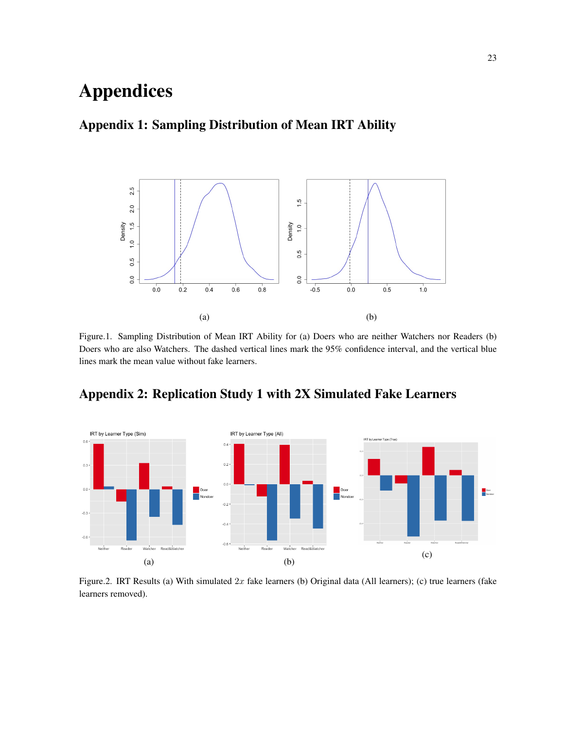# Appendices

### Appendix 1: Sampling Distribution of Mean IRT Ability



Figure.1. Sampling Distribution of Mean IRT Ability for (a) Doers who are neither Watchers nor Readers (b) Doers who are also Watchers. The dashed vertical lines mark the 95% confidence interval, and the vertical blue lines mark the mean value without fake learners.



Appendix 2: Replication Study 1 with 2X Simulated Fake Learners

Figure.2. IRT Results (a) With simulated  $2x$  fake learners (b) Original data (All learners); (c) true learners (fake learners removed).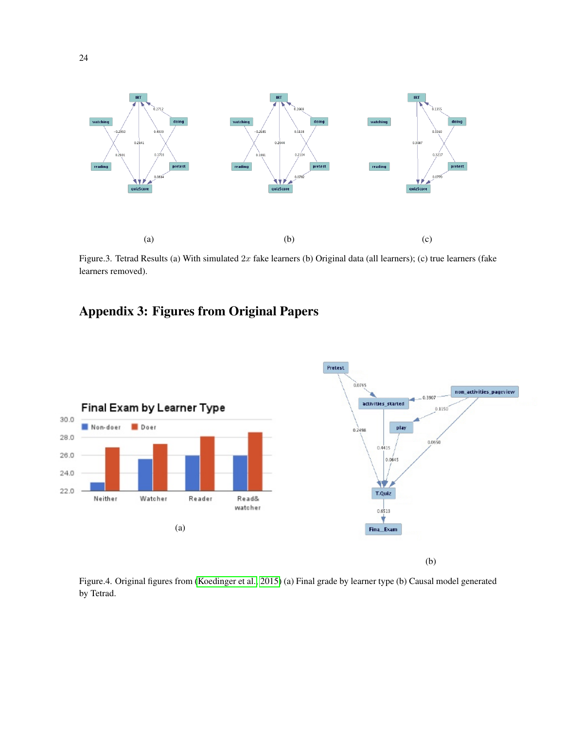

Figure.3. Tetrad Results (a) With simulated  $2x$  fake learners (b) Original data (all learners); (c) true learners (fake learners removed).

## Appendix 3: Figures from Original Papers



Figure.4. Original figures from [\(Koedinger et al., 2015\)](#page-20-0) (a) Final grade by learner type (b) Causal model generated by Tetrad.